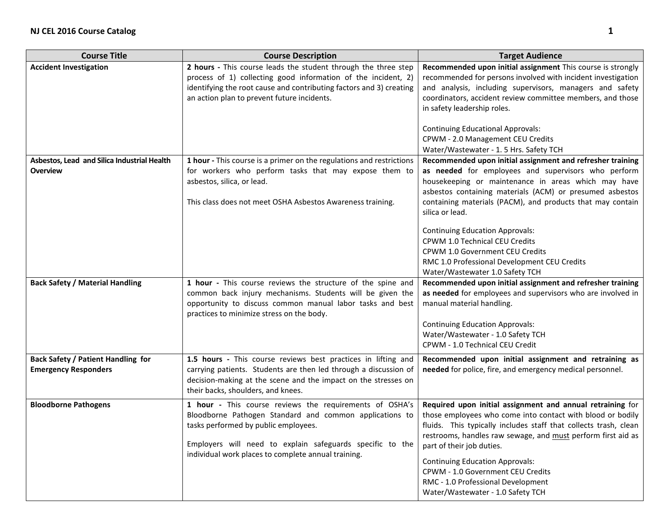| <b>Course Title</b>                                                      | <b>Course Description</b>                                                                                                                                                                                                                                                      | <b>Target Audience</b>                                                                                                                                                                                                                                                                                                                                                                                                                                                                                                  |
|--------------------------------------------------------------------------|--------------------------------------------------------------------------------------------------------------------------------------------------------------------------------------------------------------------------------------------------------------------------------|-------------------------------------------------------------------------------------------------------------------------------------------------------------------------------------------------------------------------------------------------------------------------------------------------------------------------------------------------------------------------------------------------------------------------------------------------------------------------------------------------------------------------|
| <b>Accident Investigation</b>                                            | 2 hours - This course leads the student through the three step<br>process of 1) collecting good information of the incident, 2)<br>identifying the root cause and contributing factors and 3) creating<br>an action plan to prevent future incidents.                          | Recommended upon initial assignment This course is strongly<br>recommended for persons involved with incident investigation<br>and analysis, including supervisors, managers and safety<br>coordinators, accident review committee members, and those<br>in safety leadership roles.<br><b>Continuing Educational Approvals:</b>                                                                                                                                                                                        |
|                                                                          |                                                                                                                                                                                                                                                                                | CPWM - 2.0 Management CEU Credits<br>Water/Wastewater - 1.5 Hrs. Safety TCH                                                                                                                                                                                                                                                                                                                                                                                                                                             |
| Asbestos, Lead and Silica Industrial Health<br>Overview                  | 1 hour - This course is a primer on the regulations and restrictions<br>for workers who perform tasks that may expose them to<br>asbestos, silica, or lead.<br>This class does not meet OSHA Asbestos Awareness training.                                                      | Recommended upon initial assignment and refresher training<br>as needed for employees and supervisors who perform<br>housekeeping or maintenance in areas which may have<br>asbestos containing materials (ACM) or presumed asbestos<br>containing materials (PACM), and products that may contain<br>silica or lead.<br><b>Continuing Education Approvals:</b><br>CPWM 1.0 Technical CEU Credits<br>CPWM 1.0 Government CEU Credits<br>RMC 1.0 Professional Development CEU Credits<br>Water/Wastewater 1.0 Safety TCH |
| <b>Back Safety / Material Handling</b>                                   | 1 hour - This course reviews the structure of the spine and<br>common back injury mechanisms. Students will be given the<br>opportunity to discuss common manual labor tasks and best<br>practices to minimize stress on the body.                                             | Recommended upon initial assignment and refresher training<br>as needed for employees and supervisors who are involved in<br>manual material handling.<br><b>Continuing Education Approvals:</b><br>Water/Wastewater - 1.0 Safety TCH<br>CPWM - 1.0 Technical CEU Credit                                                                                                                                                                                                                                                |
| <b>Back Safety / Patient Handling for</b><br><b>Emergency Responders</b> | 1.5 hours - This course reviews best practices in lifting and<br>carrying patients. Students are then led through a discussion of<br>decision-making at the scene and the impact on the stresses on<br>their backs, shoulders, and knees.                                      | Recommended upon initial assignment and retraining as<br>needed for police, fire, and emergency medical personnel.                                                                                                                                                                                                                                                                                                                                                                                                      |
| <b>Bloodborne Pathogens</b>                                              | 1 hour - This course reviews the requirements of OSHA's<br>Bloodborne Pathogen Standard and common applications to<br>tasks performed by public employees.<br>Employers will need to explain safeguards specific to the<br>individual work places to complete annual training. | Required upon initial assignment and annual retraining for<br>those employees who come into contact with blood or bodily<br>fluids. This typically includes staff that collects trash, clean<br>restrooms, handles raw sewage, and must perform first aid as<br>part of their job duties.<br><b>Continuing Education Approvals:</b><br><b>CPWM - 1.0 Government CEU Credits</b><br>RMC - 1.0 Professional Development<br>Water/Wastewater - 1.0 Safety TCH                                                              |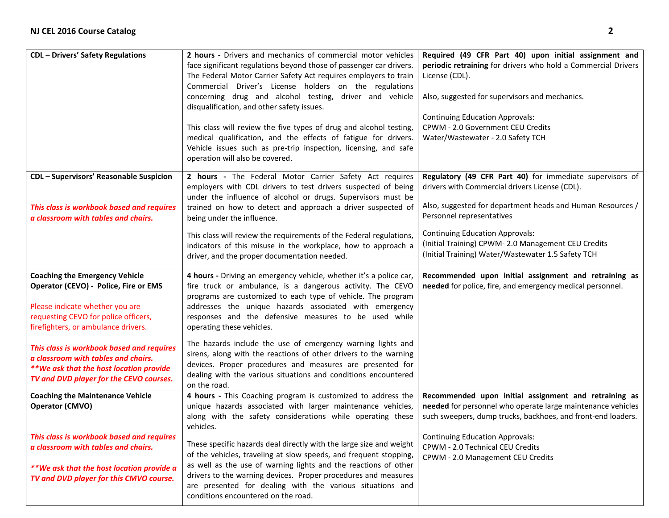| <b>CDL</b> - Drivers' Safety Regulations                                                                                                                                                         | 2 hours - Drivers and mechanics of commercial motor vehicles<br>face significant regulations beyond those of passenger car drivers.<br>The Federal Motor Carrier Safety Act requires employers to train<br>Commercial Driver's License holders on the regulations<br>concerning drug and alcohol testing, driver and vehicle<br>disqualification, and other safety issues.<br>This class will review the five types of drug and alcohol testing,<br>medical qualification, and the effects of fatigue for drivers.<br>Vehicle issues such as pre-trip inspection, licensing, and safe<br>operation will also be covered. | Required (49 CFR Part 40) upon initial assignment and<br>periodic retraining for drivers who hold a Commercial Drivers<br>License (CDL).<br>Also, suggested for supervisors and mechanics.<br><b>Continuing Education Approvals:</b><br>CPWM - 2.0 Government CEU Credits<br>Water/Wastewater - 2.0 Safety TCH |
|--------------------------------------------------------------------------------------------------------------------------------------------------------------------------------------------------|--------------------------------------------------------------------------------------------------------------------------------------------------------------------------------------------------------------------------------------------------------------------------------------------------------------------------------------------------------------------------------------------------------------------------------------------------------------------------------------------------------------------------------------------------------------------------------------------------------------------------|----------------------------------------------------------------------------------------------------------------------------------------------------------------------------------------------------------------------------------------------------------------------------------------------------------------|
| <b>CDL</b> - Supervisors' Reasonable Suspicion<br>This class is workbook based and requires<br>a classroom with tables and chairs.                                                               | 2 hours - The Federal Motor Carrier Safety Act requires<br>employers with CDL drivers to test drivers suspected of being<br>under the influence of alcohol or drugs. Supervisors must be<br>trained on how to detect and approach a driver suspected of<br>being under the influence.                                                                                                                                                                                                                                                                                                                                    | Regulatory (49 CFR Part 40) for immediate supervisors of<br>drivers with Commercial drivers License (CDL).<br>Also, suggested for department heads and Human Resources /<br>Personnel representatives                                                                                                          |
|                                                                                                                                                                                                  | This class will review the requirements of the Federal regulations,<br>indicators of this misuse in the workplace, how to approach a<br>driver, and the proper documentation needed.                                                                                                                                                                                                                                                                                                                                                                                                                                     | <b>Continuing Education Approvals:</b><br>(Initial Training) CPWM-2.0 Management CEU Credits<br>(Initial Training) Water/Wastewater 1.5 Safety TCH                                                                                                                                                             |
| <b>Coaching the Emergency Vehicle</b><br>Operator (CEVO) - Police, Fire or EMS<br>Please indicate whether you are<br>requesting CEVO for police officers,<br>firefighters, or ambulance drivers. | 4 hours - Driving an emergency vehicle, whether it's a police car,<br>fire truck or ambulance, is a dangerous activity. The CEVO<br>programs are customized to each type of vehicle. The program<br>addresses the unique hazards associated with emergency<br>responses and the defensive measures to be used while<br>operating these vehicles.                                                                                                                                                                                                                                                                         | Recommended upon initial assignment and retraining as<br>needed for police, fire, and emergency medical personnel.                                                                                                                                                                                             |
| This class is workbook based and requires<br>a classroom with tables and chairs.<br>**We ask that the host location provide<br>TV and DVD player for the CEVO courses.                           | The hazards include the use of emergency warning lights and<br>sirens, along with the reactions of other drivers to the warning<br>devices. Proper procedures and measures are presented for<br>dealing with the various situations and conditions encountered<br>on the road.                                                                                                                                                                                                                                                                                                                                           |                                                                                                                                                                                                                                                                                                                |
| <b>Coaching the Maintenance Vehicle</b><br>Operator (CMVO)                                                                                                                                       | 4 hours - This Coaching program is customized to address the<br>unique hazards associated with larger maintenance vehicles,<br>along with the safety considerations while operating these<br>vehicles.                                                                                                                                                                                                                                                                                                                                                                                                                   | Recommended upon initial assignment and retraining as<br>needed for personnel who operate large maintenance vehicles<br>such sweepers, dump trucks, backhoes, and front-end loaders.                                                                                                                           |
| This class is workbook based and requires<br>a classroom with tables and chairs.<br>**We ask that the host location provide a<br>TV and DVD player for this CMVO course.                         | These specific hazards deal directly with the large size and weight<br>of the vehicles, traveling at slow speeds, and frequent stopping,<br>as well as the use of warning lights and the reactions of other<br>drivers to the warning devices. Proper procedures and measures<br>are presented for dealing with the various situations and<br>conditions encountered on the road.                                                                                                                                                                                                                                        | <b>Continuing Education Approvals:</b><br>CPWM - 2.0 Technical CEU Credits<br>CPWM - 2.0 Management CEU Credits                                                                                                                                                                                                |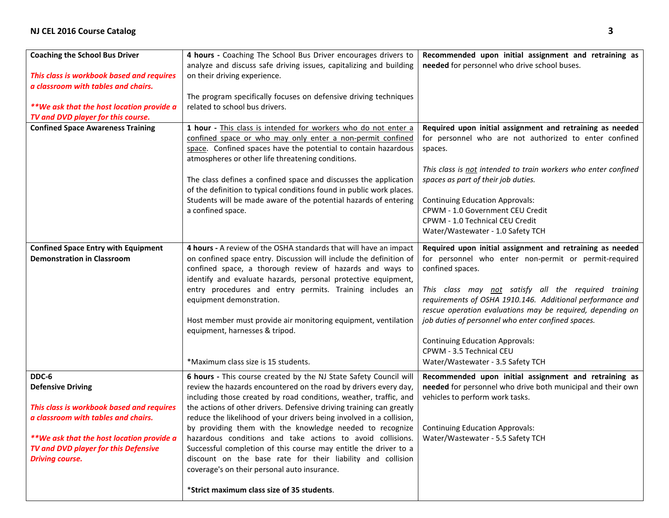| <b>Coaching the School Bus Driver</b><br>This class is workbook based and requires<br>a classroom with tables and chairs.<br>**We ask that the host location provide a<br>TV and DVD player for this course.                         | 4 hours - Coaching The School Bus Driver encourages drivers to<br>analyze and discuss safe driving issues, capitalizing and building<br>on their driving experience.<br>The program specifically focuses on defensive driving techniques<br>related to school bus drivers.                                                                                                                                                                                                                                                                                                                                                                                                                                            | Recommended upon initial assignment and retraining as<br>needed for personnel who drive school buses.                                                                                                                                                                                                                                                                                                                                                                                      |
|--------------------------------------------------------------------------------------------------------------------------------------------------------------------------------------------------------------------------------------|-----------------------------------------------------------------------------------------------------------------------------------------------------------------------------------------------------------------------------------------------------------------------------------------------------------------------------------------------------------------------------------------------------------------------------------------------------------------------------------------------------------------------------------------------------------------------------------------------------------------------------------------------------------------------------------------------------------------------|--------------------------------------------------------------------------------------------------------------------------------------------------------------------------------------------------------------------------------------------------------------------------------------------------------------------------------------------------------------------------------------------------------------------------------------------------------------------------------------------|
| <b>Confined Space Awareness Training</b>                                                                                                                                                                                             | 1 hour - This class is intended for workers who do not enter a<br>confined space or who may only enter a non-permit confined<br>space. Confined spaces have the potential to contain hazardous<br>atmospheres or other life threatening conditions.<br>The class defines a confined space and discusses the application<br>of the definition to typical conditions found in public work places.<br>Students will be made aware of the potential hazards of entering<br>a confined space.                                                                                                                                                                                                                              | Required upon initial assignment and retraining as needed<br>for personnel who are not authorized to enter confined<br>spaces.<br>This class is not intended to train workers who enter confined<br>spaces as part of their job duties.<br><b>Continuing Education Approvals:</b><br>CPWM - 1.0 Government CEU Credit<br>CPWM - 1.0 Technical CEU Credit<br>Water/Wastewater - 1.0 Safety TCH                                                                                              |
| <b>Confined Space Entry with Equipment</b><br><b>Demonstration in Classroom</b>                                                                                                                                                      | 4 hours - A review of the OSHA standards that will have an impact<br>on confined space entry. Discussion will include the definition of<br>confined space, a thorough review of hazards and ways to<br>identify and evaluate hazards, personal protective equipment,<br>entry procedures and entry permits. Training includes an<br>equipment demonstration.<br>Host member must provide air monitoring equipment, ventilation<br>equipment, harnesses & tripod.<br>*Maximum class size is 15 students.                                                                                                                                                                                                               | Required upon initial assignment and retraining as needed<br>for personnel who enter non-permit or permit-required<br>confined spaces.<br>This class may not satisfy all the required training<br>requirements of OSHA 1910.146. Additional performance and<br>rescue operation evaluations may be required, depending on<br>job duties of personnel who enter confined spaces.<br><b>Continuing Education Approvals:</b><br>CPWM - 3.5 Technical CEU<br>Water/Wastewater - 3.5 Safety TCH |
| DDC-6<br><b>Defensive Driving</b><br>This class is workbook based and requires<br>a classroom with tables and chairs.<br>**We ask that the host location provide a<br>TV and DVD player for this Defensive<br><b>Driving course.</b> | 6 hours - This course created by the NJ State Safety Council will<br>review the hazards encountered on the road by drivers every day,<br>including those created by road conditions, weather, traffic, and<br>the actions of other drivers. Defensive driving training can greatly<br>reduce the likelihood of your drivers being involved in a collision,<br>by providing them with the knowledge needed to recognize<br>hazardous conditions and take actions to avoid collisions.<br>Successful completion of this course may entitle the driver to a<br>discount on the base rate for their liability and collision<br>coverage's on their personal auto insurance.<br>*Strict maximum class size of 35 students. | Recommended upon initial assignment and retraining as<br>needed for personnel who drive both municipal and their own<br>vehicles to perform work tasks.<br><b>Continuing Education Approvals:</b><br>Water/Wastewater - 5.5 Safety TCH                                                                                                                                                                                                                                                     |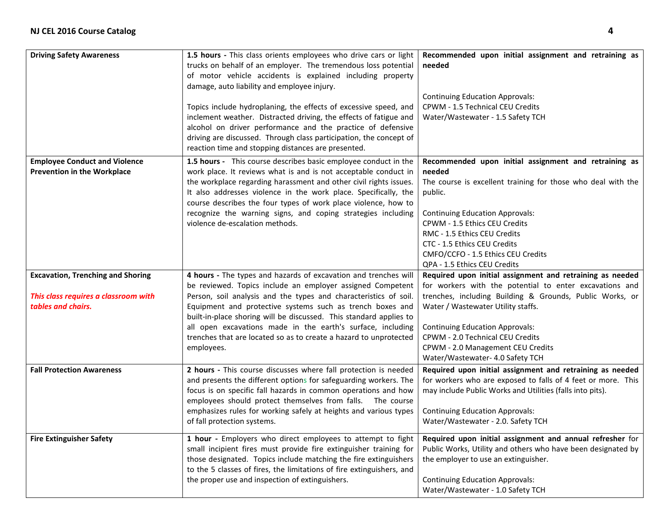| <b>Driving Safety Awareness</b>                                                                        | 1.5 hours - This class orients employees who drive cars or light<br>trucks on behalf of an employer. The tremendous loss potential<br>of motor vehicle accidents is explained including property<br>damage, auto liability and employee injury.<br>Topics include hydroplaning, the effects of excessive speed, and<br>inclement weather. Distracted driving, the effects of fatigue and<br>alcohol on driver performance and the practice of defensive<br>driving are discussed. Through class participation, the concept of<br>reaction time and stopping distances are presented. | Recommended upon initial assignment and retraining as<br>needed<br><b>Continuing Education Approvals:</b><br>CPWM - 1.5 Technical CEU Credits<br>Water/Wastewater - 1.5 Safety TCH                                                                                                                                                                                            |
|--------------------------------------------------------------------------------------------------------|--------------------------------------------------------------------------------------------------------------------------------------------------------------------------------------------------------------------------------------------------------------------------------------------------------------------------------------------------------------------------------------------------------------------------------------------------------------------------------------------------------------------------------------------------------------------------------------|-------------------------------------------------------------------------------------------------------------------------------------------------------------------------------------------------------------------------------------------------------------------------------------------------------------------------------------------------------------------------------|
| <b>Employee Conduct and Violence</b><br><b>Prevention in the Workplace</b>                             | 1.5 hours - This course describes basic employee conduct in the<br>work place. It reviews what is and is not acceptable conduct in<br>the workplace regarding harassment and other civil rights issues.<br>It also addresses violence in the work place. Specifically, the<br>course describes the four types of work place violence, how to<br>recognize the warning signs, and coping strategies including<br>violence de-escalation methods.                                                                                                                                      | Recommended upon initial assignment and retraining as<br>needed<br>The course is excellent training for those who deal with the<br>public.<br><b>Continuing Education Approvals:</b><br>CPWM - 1.5 Ethics CEU Credits<br>RMC - 1.5 Ethics CEU Credits<br>CTC - 1.5 Ethics CEU Credits<br>CMFO/CCFO - 1.5 Ethics CEU Credits<br>QPA - 1.5 Ethics CEU Credits                   |
| <b>Excavation, Trenching and Shoring</b><br>This class requires a classroom with<br>tables and chairs. | 4 hours - The types and hazards of excavation and trenches will<br>be reviewed. Topics include an employer assigned Competent<br>Person, soil analysis and the types and characteristics of soil.<br>Equipment and protective systems such as trench boxes and<br>built-in-place shoring will be discussed. This standard applies to<br>all open excavations made in the earth's surface, including<br>trenches that are located so as to create a hazard to unprotected<br>employees.                                                                                               | Required upon initial assignment and retraining as needed<br>for workers with the potential to enter excavations and<br>trenches, including Building & Grounds, Public Works, or<br>Water / Wastewater Utility staffs.<br><b>Continuing Education Approvals:</b><br>CPWM - 2.0 Technical CEU Credits<br>CPWM - 2.0 Management CEU Credits<br>Water/Wastewater- 4.0 Safety TCH |
| <b>Fall Protection Awareness</b>                                                                       | 2 hours - This course discusses where fall protection is needed<br>and presents the different options for safeguarding workers. The<br>focus is on specific fall hazards in common operations and how<br>employees should protect themselves from falls. The course<br>emphasizes rules for working safely at heights and various types<br>of fall protection systems.                                                                                                                                                                                                               | Required upon initial assignment and retraining as needed<br>for workers who are exposed to falls of 4 feet or more. This<br>may include Public Works and Utilities (falls into pits).<br><b>Continuing Education Approvals:</b><br>Water/Wastewater - 2.0. Safety TCH                                                                                                        |
| <b>Fire Extinguisher Safety</b>                                                                        | 1 hour - Employers who direct employees to attempt to fight<br>small incipient fires must provide fire extinguisher training for<br>those designated. Topics include matching the fire extinguishers<br>to the 5 classes of fires, the limitations of fire extinguishers, and<br>the proper use and inspection of extinguishers.                                                                                                                                                                                                                                                     | Required upon initial assignment and annual refresher for<br>Public Works, Utility and others who have been designated by<br>the employer to use an extinguisher.<br><b>Continuing Education Approvals:</b><br>Water/Wastewater - 1.0 Safety TCH                                                                                                                              |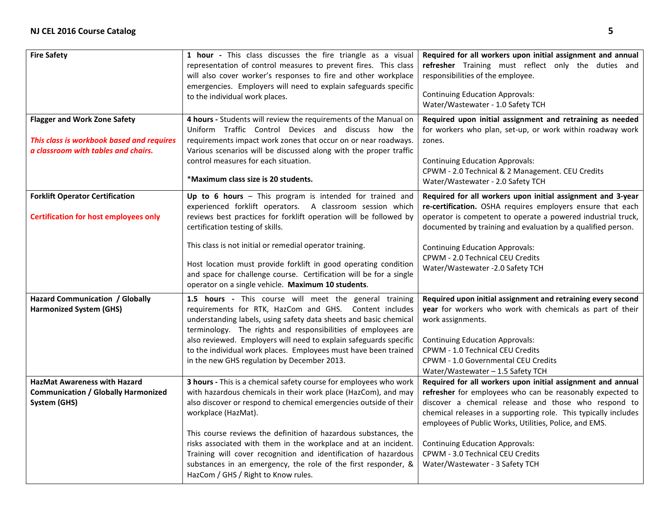| <b>Fire Safety</b>                                                                                                      | 1 hour - This class discusses the fire triangle as a visual<br>representation of control measures to prevent fires. This class<br>will also cover worker's responses to fire and other workplace<br>emergencies. Employers will need to explain safeguards specific<br>to the individual work places.                                                                                                                                                                                                                                             | Required for all workers upon initial assignment and annual<br>refresher Training must reflect only the duties and<br>responsibilities of the employee.<br><b>Continuing Education Approvals:</b><br>Water/Wastewater - 1.0 Safety TCH                                                                                                                                                                                         |
|-------------------------------------------------------------------------------------------------------------------------|---------------------------------------------------------------------------------------------------------------------------------------------------------------------------------------------------------------------------------------------------------------------------------------------------------------------------------------------------------------------------------------------------------------------------------------------------------------------------------------------------------------------------------------------------|--------------------------------------------------------------------------------------------------------------------------------------------------------------------------------------------------------------------------------------------------------------------------------------------------------------------------------------------------------------------------------------------------------------------------------|
| <b>Flagger and Work Zone Safety</b><br>This class is workbook based and requires<br>a classroom with tables and chairs. | 4 hours - Students will review the requirements of the Manual on<br>Uniform Traffic Control Devices and discuss how the<br>requirements impact work zones that occur on or near roadways.<br>Various scenarios will be discussed along with the proper traffic<br>control measures for each situation.<br>*Maximum class size is 20 students.                                                                                                                                                                                                     | Required upon initial assignment and retraining as needed<br>for workers who plan, set-up, or work within roadway work<br>zones.<br><b>Continuing Education Approvals:</b><br>CPWM - 2.0 Technical & 2 Management. CEU Credits<br>Water/Wastewater - 2.0 Safety TCH                                                                                                                                                            |
| <b>Forklift Operator Certification</b><br><b>Certification for host employees only</b>                                  | Up to 6 hours $-$ This program is intended for trained and<br>experienced forklift operators. A classroom session which<br>reviews best practices for forklift operation will be followed by<br>certification testing of skills.<br>This class is not initial or remedial operator training.<br>Host location must provide forklift in good operating condition<br>and space for challenge course. Certification will be for a single<br>operator on a single vehicle. Maximum 10 students.                                                       | Required for all workers upon initial assignment and 3-year<br>re-certification. OSHA requires employers ensure that each<br>operator is competent to operate a powered industrial truck,<br>documented by training and evaluation by a qualified person.<br><b>Continuing Education Approvals:</b><br><b>CPWM - 2.0 Technical CEU Credits</b><br>Water/Wastewater - 2.0 Safety TCH                                            |
| <b>Hazard Communication / Globally</b><br><b>Harmonized System (GHS)</b>                                                | 1.5 hours - This course will meet the general training<br>requirements for RTK, HazCom and GHS. Content includes<br>understanding labels, using safety data sheets and basic chemical<br>terminology. The rights and responsibilities of employees are<br>also reviewed. Employers will need to explain safeguards specific<br>to the individual work places. Employees must have been trained<br>in the new GHS regulation by December 2013.                                                                                                     | Required upon initial assignment and retraining every second<br>year for workers who work with chemicals as part of their<br>work assignments.<br><b>Continuing Education Approvals:</b><br><b>CPWM - 1.0 Technical CEU Credits</b><br>CPWM - 1.0 Governmental CEU Credits<br>Water/Wastewater - 1.5 Safety TCH                                                                                                                |
| <b>HazMat Awareness with Hazard</b><br><b>Communication / Globally Harmonized</b><br>System (GHS)                       | 3 hours - This is a chemical safety course for employees who work<br>with hazardous chemicals in their work place (HazCom), and may<br>also discover or respond to chemical emergencies outside of their<br>workplace (HazMat).<br>This course reviews the definition of hazardous substances, the<br>risks associated with them in the workplace and at an incident.<br>Training will cover recognition and identification of hazardous<br>substances in an emergency, the role of the first responder, &<br>HazCom / GHS / Right to Know rules. | Required for all workers upon initial assignment and annual<br>refresher for employees who can be reasonably expected to<br>discover a chemical release and those who respond to<br>chemical releases in a supporting role. This typically includes<br>employees of Public Works, Utilities, Police, and EMS.<br><b>Continuing Education Approvals:</b><br>CPWM - 3.0 Technical CEU Credits<br>Water/Wastewater - 3 Safety TCH |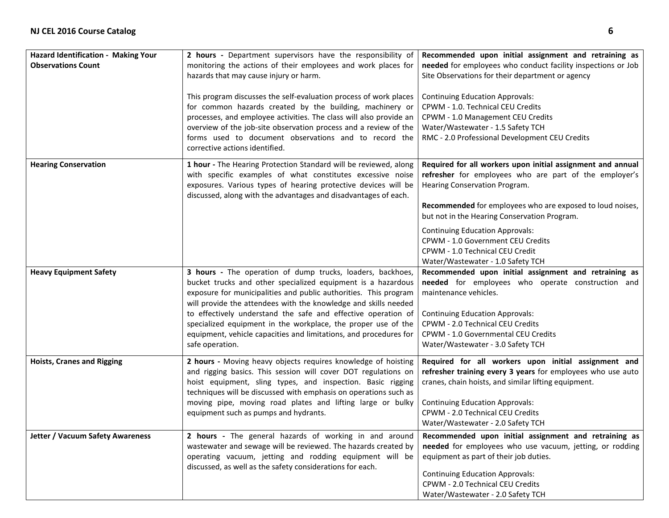| Hazard Identification - Making Your<br><b>Observations Count</b> | 2 hours - Department supervisors have the responsibility of<br>monitoring the actions of their employees and work places for<br>hazards that may cause injury or harm.<br>This program discusses the self-evaluation process of work places<br>for common hazards created by the building, machinery or<br>processes, and employee activities. The class will also provide an<br>overview of the job-site observation process and a review of the<br>forms used to document observations and to record the<br>corrective actions identified. | Recommended upon initial assignment and retraining as<br>needed for employees who conduct facility inspections or Job<br>Site Observations for their department or agency<br><b>Continuing Education Approvals:</b><br>CPWM - 1.0. Technical CEU Credits<br>CPWM - 1.0 Management CEU Credits<br>Water/Wastewater - 1.5 Safety TCH<br>RMC - 2.0 Professional Development CEU Credits                                       |
|------------------------------------------------------------------|----------------------------------------------------------------------------------------------------------------------------------------------------------------------------------------------------------------------------------------------------------------------------------------------------------------------------------------------------------------------------------------------------------------------------------------------------------------------------------------------------------------------------------------------|----------------------------------------------------------------------------------------------------------------------------------------------------------------------------------------------------------------------------------------------------------------------------------------------------------------------------------------------------------------------------------------------------------------------------|
| <b>Hearing Conservation</b>                                      | 1 hour - The Hearing Protection Standard will be reviewed, along<br>with specific examples of what constitutes excessive noise<br>exposures. Various types of hearing protective devices will be<br>discussed, along with the advantages and disadvantages of each.                                                                                                                                                                                                                                                                          | Required for all workers upon initial assignment and annual<br>refresher for employees who are part of the employer's<br>Hearing Conservation Program.<br>Recommended for employees who are exposed to loud noises,<br>but not in the Hearing Conservation Program.<br><b>Continuing Education Approvals:</b><br>CPWM - 1.0 Government CEU Credits<br>CPWM - 1.0 Technical CEU Credit<br>Water/Wastewater - 1.0 Safety TCH |
| <b>Heavy Equipment Safety</b>                                    | 3 hours - The operation of dump trucks, loaders, backhoes,<br>bucket trucks and other specialized equipment is a hazardous<br>exposure for municipalities and public authorities. This program<br>will provide the attendees with the knowledge and skills needed<br>to effectively understand the safe and effective operation of<br>specialized equipment in the workplace, the proper use of the<br>equipment, vehicle capacities and limitations, and procedures for<br>safe operation.                                                  | Recommended upon initial assignment and retraining as<br>needed for employees who operate construction and<br>maintenance vehicles.<br><b>Continuing Education Approvals:</b><br>CPWM - 2.0 Technical CEU Credits<br>CPWM - 1.0 Governmental CEU Credits<br>Water/Wastewater - 3.0 Safety TCH                                                                                                                              |
| <b>Hoists, Cranes and Rigging</b>                                | 2 hours - Moving heavy objects requires knowledge of hoisting<br>and rigging basics. This session will cover DOT regulations on<br>hoist equipment, sling types, and inspection. Basic rigging<br>techniques will be discussed with emphasis on operations such as<br>moving pipe, moving road plates and lifting large or bulky<br>equipment such as pumps and hydrants.                                                                                                                                                                    | Required for all workers upon initial assignment and<br>refresher training every 3 years for employees who use auto<br>cranes, chain hoists, and similar lifting equipment.<br><b>Continuing Education Approvals:</b><br>CPWM - 2.0 Technical CEU Credits<br>Water/Wastewater - 2.0 Safety TCH                                                                                                                             |
| <b>Jetter / Vacuum Safety Awareness</b>                          | 2 hours - The general hazards of working in and around<br>wastewater and sewage will be reviewed. The hazards created by<br>operating vacuum, jetting and rodding equipment will be<br>discussed, as well as the safety considerations for each.                                                                                                                                                                                                                                                                                             | Recommended upon initial assignment and retraining as<br>needed for employees who use vacuum, jetting, or rodding<br>equipment as part of their job duties.<br><b>Continuing Education Approvals:</b><br>CPWM - 2.0 Technical CEU Credits<br>Water/Wastewater - 2.0 Safety TCH                                                                                                                                             |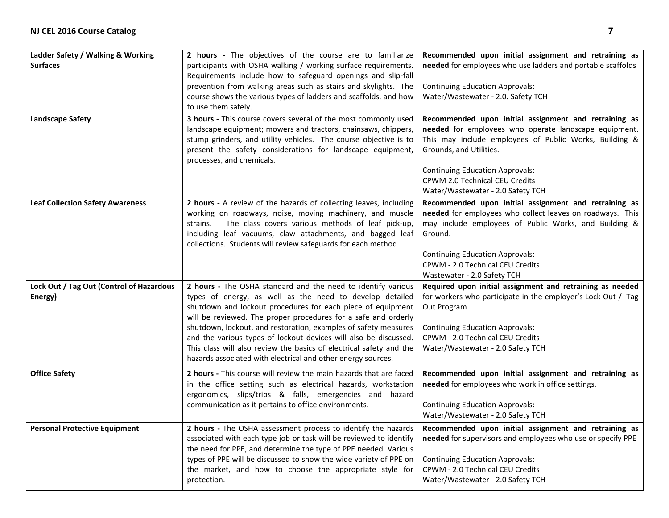| Ladder Safety / Walking & Working<br><b>Surfaces</b><br><b>Landscape Safety</b> | 2 hours - The objectives of the course are to familiarize<br>participants with OSHA walking / working surface requirements.<br>Requirements include how to safeguard openings and slip-fall<br>prevention from walking areas such as stairs and skylights. The<br>course shows the various types of ladders and scaffolds, and how<br>to use them safely.<br>3 hours - This course covers several of the most commonly used<br>landscape equipment; mowers and tractors, chainsaws, chippers,<br>stump grinders, and utility vehicles. The course objective is to<br>present the safety considerations for landscape equipment,<br>processes, and chemicals. | Recommended upon initial assignment and retraining as<br>needed for employees who use ladders and portable scaffolds<br><b>Continuing Education Approvals:</b><br>Water/Wastewater - 2.0. Safety TCH<br>Recommended upon initial assignment and retraining as<br>needed for employees who operate landscape equipment.<br>This may include employees of Public Works, Building &<br>Grounds, and Utilities.<br><b>Continuing Education Approvals:</b><br>CPWM 2.0 Technical CEU Credits<br>Water/Wastewater - 2.0 Safety TCH |
|---------------------------------------------------------------------------------|--------------------------------------------------------------------------------------------------------------------------------------------------------------------------------------------------------------------------------------------------------------------------------------------------------------------------------------------------------------------------------------------------------------------------------------------------------------------------------------------------------------------------------------------------------------------------------------------------------------------------------------------------------------|------------------------------------------------------------------------------------------------------------------------------------------------------------------------------------------------------------------------------------------------------------------------------------------------------------------------------------------------------------------------------------------------------------------------------------------------------------------------------------------------------------------------------|
| <b>Leaf Collection Safety Awareness</b>                                         | 2 hours - A review of the hazards of collecting leaves, including<br>working on roadways, noise, moving machinery, and muscle<br>The class covers various methods of leaf pick-up,<br>strains.<br>including leaf vacuums, claw attachments, and bagged leaf<br>collections. Students will review safeguards for each method.                                                                                                                                                                                                                                                                                                                                 | Recommended upon initial assignment and retraining as<br>needed for employees who collect leaves on roadways. This<br>may include employees of Public Works, and Building &<br>Ground.<br><b>Continuing Education Approvals:</b><br>CPWM - 2.0 Technical CEU Credits<br>Wastewater - 2.0 Safety TCH                                                                                                                                                                                                                          |
| Lock Out / Tag Out (Control of Hazardous<br>Energy)                             | 2 hours - The OSHA standard and the need to identify various<br>types of energy, as well as the need to develop detailed<br>shutdown and lockout procedures for each piece of equipment<br>will be reviewed. The proper procedures for a safe and orderly<br>shutdown, lockout, and restoration, examples of safety measures<br>and the various types of lockout devices will also be discussed.<br>This class will also review the basics of electrical safety and the<br>hazards associated with electrical and other energy sources.                                                                                                                      | Required upon initial assignment and retraining as needed<br>for workers who participate in the employer's Lock Out / Tag<br>Out Program<br><b>Continuing Education Approvals:</b><br>CPWM - 2.0 Technical CEU Credits<br>Water/Wastewater - 2.0 Safety TCH                                                                                                                                                                                                                                                                  |
| <b>Office Safety</b>                                                            | 2 hours - This course will review the main hazards that are faced<br>in the office setting such as electrical hazards, workstation<br>ergonomics, slips/trips & falls, emergencies and hazard<br>communication as it pertains to office environments.                                                                                                                                                                                                                                                                                                                                                                                                        | Recommended upon initial assignment and retraining as<br>needed for employees who work in office settings.<br><b>Continuing Education Approvals:</b><br>Water/Wastewater - 2.0 Safety TCH                                                                                                                                                                                                                                                                                                                                    |
| <b>Personal Protective Equipment</b>                                            | 2 hours - The OSHA assessment process to identify the hazards<br>associated with each type job or task will be reviewed to identify<br>the need for PPE, and determine the type of PPE needed. Various<br>types of PPE will be discussed to show the wide variety of PPE on<br>the market, and how to choose the appropriate style for<br>protection.                                                                                                                                                                                                                                                                                                        | Recommended upon initial assignment and retraining as<br>needed for supervisors and employees who use or specify PPE<br><b>Continuing Education Approvals:</b><br>CPWM - 2.0 Technical CEU Credits<br>Water/Wastewater - 2.0 Safety TCH                                                                                                                                                                                                                                                                                      |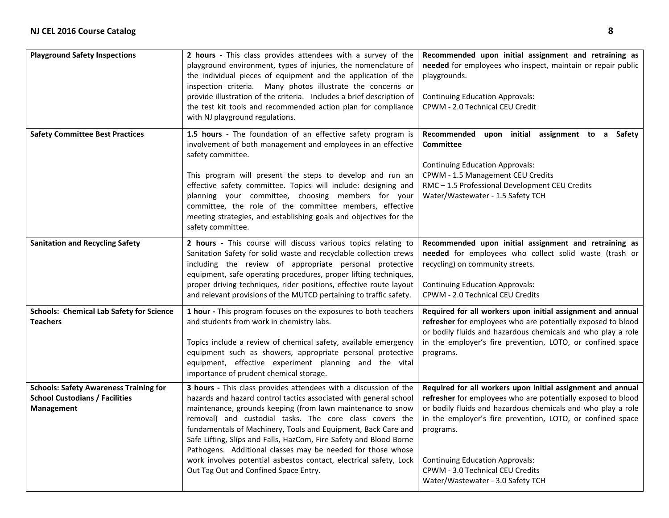| <b>Playground Safety Inspections</b>                                                                 | 2 hours - This class provides attendees with a survey of the<br>playground environment, types of injuries, the nomenclature of<br>the individual pieces of equipment and the application of the<br>inspection criteria. Many photos illustrate the concerns or<br>provide illustration of the criteria. Includes a brief description of<br>the test kit tools and recommended action plan for compliance<br>with NJ playground regulations.                                                                                                                                         | Recommended upon initial assignment and retraining as<br>needed for employees who inspect, maintain or repair public<br>playgrounds.<br><b>Continuing Education Approvals:</b><br>CPWM - 2.0 Technical CEU Credit                                                                                                                                                                                |
|------------------------------------------------------------------------------------------------------|-------------------------------------------------------------------------------------------------------------------------------------------------------------------------------------------------------------------------------------------------------------------------------------------------------------------------------------------------------------------------------------------------------------------------------------------------------------------------------------------------------------------------------------------------------------------------------------|--------------------------------------------------------------------------------------------------------------------------------------------------------------------------------------------------------------------------------------------------------------------------------------------------------------------------------------------------------------------------------------------------|
| <b>Safety Committee Best Practices</b>                                                               | 1.5 hours - The foundation of an effective safety program is<br>involvement of both management and employees in an effective<br>safety committee.                                                                                                                                                                                                                                                                                                                                                                                                                                   | Recommended<br>initial assignment to a<br>upon<br>Safety<br>Committee                                                                                                                                                                                                                                                                                                                            |
|                                                                                                      | This program will present the steps to develop and run an<br>effective safety committee. Topics will include: designing and<br>planning your committee, choosing members for your<br>committee, the role of the committee members, effective<br>meeting strategies, and establishing goals and objectives for the<br>safety committee.                                                                                                                                                                                                                                              | <b>Continuing Education Approvals:</b><br>CPWM - 1.5 Management CEU Credits<br>RMC - 1.5 Professional Development CEU Credits<br>Water/Wastewater - 1.5 Safety TCH                                                                                                                                                                                                                               |
| <b>Sanitation and Recycling Safety</b>                                                               | 2 hours - This course will discuss various topics relating to<br>Sanitation Safety for solid waste and recyclable collection crews<br>including the review of appropriate personal protective<br>equipment, safe operating procedures, proper lifting techniques,<br>proper driving techniques, rider positions, effective route layout<br>and relevant provisions of the MUTCD pertaining to traffic safety.                                                                                                                                                                       | Recommended upon initial assignment and retraining as<br>needed for employees who collect solid waste (trash or<br>recycling) on community streets.<br><b>Continuing Education Approvals:</b><br><b>CPWM - 2.0 Technical CEU Credits</b>                                                                                                                                                         |
| <b>Schools: Chemical Lab Safety for Science</b><br><b>Teachers</b>                                   | 1 hour - This program focuses on the exposures to both teachers<br>and students from work in chemistry labs.<br>Topics include a review of chemical safety, available emergency<br>equipment such as showers, appropriate personal protective<br>equipment, effective experiment planning and the vital<br>importance of prudent chemical storage.                                                                                                                                                                                                                                  | Required for all workers upon initial assignment and annual<br>refresher for employees who are potentially exposed to blood<br>or bodily fluids and hazardous chemicals and who play a role<br>in the employer's fire prevention, LOTO, or confined space<br>programs.                                                                                                                           |
| <b>Schools: Safety Awareness Training for</b><br><b>School Custodians / Facilities</b><br>Management | 3 hours - This class provides attendees with a discussion of the<br>hazards and hazard control tactics associated with general school<br>maintenance, grounds keeping (from lawn maintenance to snow<br>removal) and custodial tasks. The core class covers the<br>fundamentals of Machinery, Tools and Equipment, Back Care and<br>Safe Lifting, Slips and Falls, HazCom, Fire Safety and Blood Borne<br>Pathogens. Additional classes may be needed for those whose<br>work involves potential asbestos contact, electrical safety, Lock<br>Out Tag Out and Confined Space Entry. | Required for all workers upon initial assignment and annual<br>refresher for employees who are potentially exposed to blood<br>or bodily fluids and hazardous chemicals and who play a role<br>in the employer's fire prevention, LOTO, or confined space<br>programs.<br><b>Continuing Education Approvals:</b><br><b>CPWM - 3.0 Technical CEU Credits</b><br>Water/Wastewater - 3.0 Safety TCH |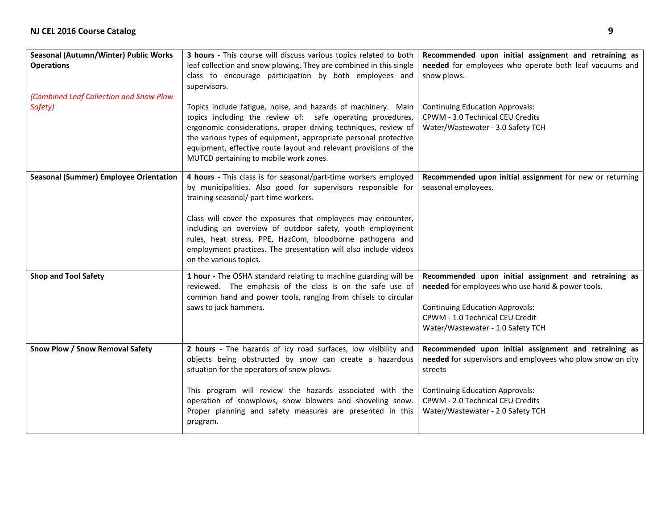| Seasonal (Autumn/Winter) Public Works<br><b>Operations</b> | 3 hours - This course will discuss various topics related to both<br>leaf collection and snow plowing. They are combined in this single<br>class to encourage participation by both employees and<br>supervisors.                                                                                                                                                                                                                                               | Recommended upon initial assignment and retraining as<br>needed for employees who operate both leaf vacuums and<br>snow plows.                                                                                                                    |
|------------------------------------------------------------|-----------------------------------------------------------------------------------------------------------------------------------------------------------------------------------------------------------------------------------------------------------------------------------------------------------------------------------------------------------------------------------------------------------------------------------------------------------------|---------------------------------------------------------------------------------------------------------------------------------------------------------------------------------------------------------------------------------------------------|
| (Combined Leaf Collection and Snow Plow<br>Safety)         | Topics include fatigue, noise, and hazards of machinery. Main<br>topics including the review of: safe operating procedures,<br>ergonomic considerations, proper driving techniques, review of<br>the various types of equipment, appropriate personal protective<br>equipment, effective route layout and relevant provisions of the<br>MUTCD pertaining to mobile work zones.                                                                                  | <b>Continuing Education Approvals:</b><br>CPWM - 3.0 Technical CEU Credits<br>Water/Wastewater - 3.0 Safety TCH                                                                                                                                   |
| <b>Seasonal (Summer) Employee Orientation</b>              | 4 hours - This class is for seasonal/part-time workers employed<br>by municipalities. Also good for supervisors responsible for<br>training seasonal/ part time workers.<br>Class will cover the exposures that employees may encounter,<br>including an overview of outdoor safety, youth employment<br>rules, heat stress, PPE, HazCom, bloodborne pathogens and<br>employment practices. The presentation will also include videos<br>on the various topics. | Recommended upon initial assignment for new or returning<br>seasonal employees.                                                                                                                                                                   |
| <b>Shop and Tool Safety</b>                                | 1 hour - The OSHA standard relating to machine guarding will be<br>reviewed. The emphasis of the class is on the safe use of<br>common hand and power tools, ranging from chisels to circular<br>saws to jack hammers.                                                                                                                                                                                                                                          | Recommended upon initial assignment and retraining as<br>needed for employees who use hand & power tools.<br><b>Continuing Education Approvals:</b><br>CPWM - 1.0 Technical CEU Credit<br>Water/Wastewater - 1.0 Safety TCH                       |
| Snow Plow / Snow Removal Safety                            | 2 hours - The hazards of icy road surfaces, low visibility and<br>objects being obstructed by snow can create a hazardous<br>situation for the operators of snow plows.<br>This program will review the hazards associated with the<br>operation of snowplows, snow blowers and shoveling snow.<br>Proper planning and safety measures are presented in this<br>program.                                                                                        | Recommended upon initial assignment and retraining as<br>needed for supervisors and employees who plow snow on city<br>streets<br><b>Continuing Education Approvals:</b><br>CPWM - 2.0 Technical CEU Credits<br>Water/Wastewater - 2.0 Safety TCH |